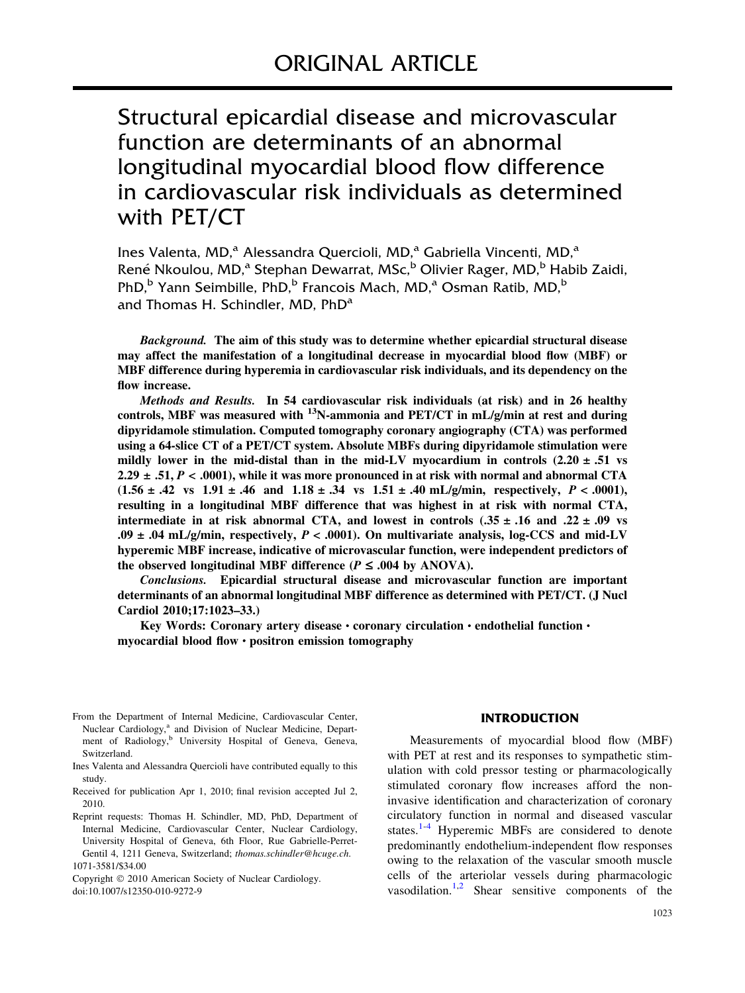# Structural epicardial disease and microvascular function are determinants of an abnormal longitudinal myocardial blood flow difference in cardiovascular risk individuals as determined with PET/CT

Ines Valenta, MD,<sup>a</sup> Alessandra Quercioli, MD,<sup>a</sup> Gabriella Vincenti, MD,<sup>a</sup> René Nkoulou, MD,<sup>a</sup> Stephan Dewarrat, MSc,<sup>b</sup> Olivier Rager, MD,<sup>b</sup> Habib Zaidi, PhD, $^{\rm b}$  Yann Seimbille, PhD, $^{\rm b}$  Francois Mach, MD, $^{\rm a}$  Osman Ratib, MD, $^{\rm b}$ and Thomas H. Schindler, MD, PhD<sup>a</sup>

Background. The aim of this study was to determine whether epicardial structural disease may affect the manifestation of a longitudinal decrease in myocardial blood flow (MBF) or MBF difference during hyperemia in cardiovascular risk individuals, and its dependency on the flow increase.

Methods and Results. In 54 cardiovascular risk individuals (at risk) and in 26 healthy controls, MBF was measured with  $^{13}N$ -ammonia and PET/CT in mL/g/min at rest and during dipyridamole stimulation. Computed tomography coronary angiography (CTA) was performed using a 64-slice CT of a PET/CT system. Absolute MBFs during dipyridamole stimulation were mildly lower in the mid-distal than in the mid-LV myocardium in controls  $(2.20 \pm .51 \text{ vs } 1.51)$ 2.29  $\pm$  .51, P < .0001), while it was more pronounced in at risk with normal and abnormal CTA  $(1.56 \pm .42 \text{ vs } 1.91 \pm .46 \text{ and } 1.18 \pm .34 \text{ vs } 1.51 \pm .40 \text{ mL/g/min, respectively, } P < .0001)$ , resulting in a longitudinal MBF difference that was highest in at risk with normal CTA, intermediate in at risk abnormal CTA, and lowest in controls  $(.35 \pm .16$  and  $.22 \pm .09$  vs .09  $\pm$  .04 mL/g/min, respectively, P < .0001). On multivariate analysis, log-CCS and mid-LV hyperemic MBF increase, indicative of microvascular function, were independent predictors of the observed longitudinal MBF difference ( $P \le 0.004$  by ANOVA).

Conclusions. Epicardial structural disease and microvascular function are important determinants of an abnormal longitudinal MBF difference as determined with PET/CT. (J Nucl Cardiol 2010;17:1023–33.)

Key Words: Coronary artery disease • coronary circulation • endothelial function • myocardial blood flow · positron emission tomography

- From the Department of Internal Medicine, Cardiovascular Center, Nuclear Cardiology,<sup>a</sup> and Division of Nuclear Medicine, Department of Radiology,<sup>b</sup> University Hospital of Geneva, Geneva, Switzerland.
- Ines Valenta and Alessandra Quercioli have contributed equally to this study.
- Received for publication Apr 1, 2010; final revision accepted Jul 2, 2010.
- Reprint requests: Thomas H. Schindler, MD, PhD, Department of Internal Medicine, Cardiovascular Center, Nuclear Cardiology, University Hospital of Geneva, 6th Floor, Rue Gabrielle-Perret-Gentil 4, 1211 Geneva, Switzerland; thomas.schindler@hcuge.ch. 1071-3581/\$34.00

Copyright © 2010 American Society of Nuclear Cardiology. doi:10.1007/s12350-010-9272-9

## INTRODUCTION

Measurements of myocardial blood flow (MBF) with PET at rest and its responses to sympathetic stimulation with cold pressor testing or pharmacologically stimulated coronary flow increases afford the noninvasive identification and characterization of coronary circulatory function in normal and diseased vascular states.<sup>[1](#page-9-0)-[4](#page-10-0)</sup> Hyperemic MBFs are considered to denote predominantly endothelium-independent flow responses owing to the relaxation of the vascular smooth muscle cells of the arteriolar vessels during pharmacologic vasodilation. $1,2$  Shear sensitive components of the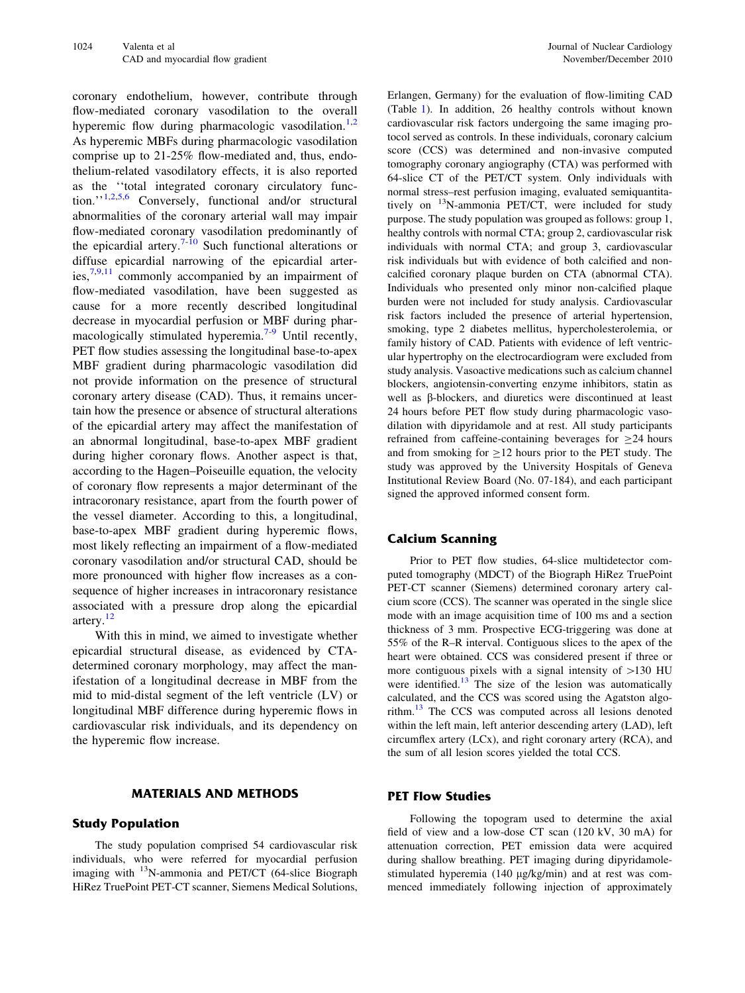coronary endothelium, however, contribute through flow-mediated coronary vasodilation to the overall hyperemic flow during pharmacologic vasodilation.<sup>[1,2](#page-9-0)</sup> As hyperemic MBFs during pharmacologic vasodilation comprise up to 21-25% flow-mediated and, thus, endothelium-related vasodilatory effects, it is also reported as the ''total integrated coronary circulatory func-tion."<sup>[1,2](#page-9-0),[5,6](#page-10-0)</sup> Conversely, functional and/or structural abnormalities of the coronary arterial wall may impair flow-mediated coronary vasodilation predominantly of the epicardial artery.<sup>[7-10](#page-10-0)</sup> Such functional alterations or diffuse epicardial narrowing of the epicardial arteries, $7,9,11$  commonly accompanied by an impairment of flow-mediated vasodilation, have been suggested as cause for a more recently described longitudinal decrease in myocardial perfusion or MBF during phar-macologically stimulated hyperemia.<sup>[7](#page-10-0)-[9](#page-10-0)</sup> Until recently, PET flow studies assessing the longitudinal base-to-apex MBF gradient during pharmacologic vasodilation did not provide information on the presence of structural coronary artery disease (CAD). Thus, it remains uncertain how the presence or absence of structural alterations of the epicardial artery may affect the manifestation of an abnormal longitudinal, base-to-apex MBF gradient during higher coronary flows. Another aspect is that, according to the Hagen–Poiseuille equation, the velocity of coronary flow represents a major determinant of the intracoronary resistance, apart from the fourth power of the vessel diameter. According to this, a longitudinal, base-to-apex MBF gradient during hyperemic flows, most likely reflecting an impairment of a flow-mediated coronary vasodilation and/or structural CAD, should be more pronounced with higher flow increases as a consequence of higher increases in intracoronary resistance associated with a pressure drop along the epicardial artery.[12](#page-10-0)

With this in mind, we aimed to investigate whether epicardial structural disease, as evidenced by CTAdetermined coronary morphology, may affect the manifestation of a longitudinal decrease in MBF from the mid to mid-distal segment of the left ventricle (LV) or longitudinal MBF difference during hyperemic flows in cardiovascular risk individuals, and its dependency on the hyperemic flow increase.

## MATERIALS AND METHODS

## Study Population

The study population comprised 54 cardiovascular risk individuals, who were referred for myocardial perfusion imaging with <sup>13</sup>N-ammonia and PET/CT (64-slice Biograph HiRez TruePoint PET-CT scanner, Siemens Medical Solutions,

Erlangen, Germany) for the evaluation of flow-limiting CAD (Table [1\)](#page-2-0). In addition, 26 healthy controls without known cardiovascular risk factors undergoing the same imaging protocol served as controls. In these individuals, coronary calcium score (CCS) was determined and non-invasive computed tomography coronary angiography (CTA) was performed with 64-slice CT of the PET/CT system. Only individuals with normal stress–rest perfusion imaging, evaluated semiquantitatively on  $^{13}$ N-ammonia PET/CT, were included for study purpose. The study population was grouped as follows: group 1, healthy controls with normal CTA; group 2, cardiovascular risk individuals with normal CTA; and group 3, cardiovascular risk individuals but with evidence of both calcified and noncalcified coronary plaque burden on CTA (abnormal CTA). Individuals who presented only minor non-calcified plaque burden were not included for study analysis. Cardiovascular risk factors included the presence of arterial hypertension, smoking, type 2 diabetes mellitus, hypercholesterolemia, or family history of CAD. Patients with evidence of left ventricular hypertrophy on the electrocardiogram were excluded from study analysis. Vasoactive medications such as calcium channel blockers, angiotensin-converting enzyme inhibitors, statin as well as  $\beta$ -blockers, and diuretics were discontinued at least 24 hours before PET flow study during pharmacologic vasodilation with dipyridamole and at rest. All study participants refrained from caffeine-containing beverages for  $\geq$ 24 hours and from smoking for  $\geq 12$  hours prior to the PET study. The study was approved by the University Hospitals of Geneva Institutional Review Board (No. 07-184), and each participant signed the approved informed consent form.

# Calcium Scanning

Prior to PET flow studies, 64-slice multidetector computed tomography (MDCT) of the Biograph HiRez TruePoint PET-CT scanner (Siemens) determined coronary artery calcium score (CCS). The scanner was operated in the single slice mode with an image acquisition time of 100 ms and a section thickness of 3 mm. Prospective ECG-triggering was done at 55% of the R–R interval. Contiguous slices to the apex of the heart were obtained. CCS was considered present if three or more contiguous pixels with a signal intensity of  $>130$  HU were identified. $13$  The size of the lesion was automatically calculated, and the CCS was scored using the Agatston algo-rithm.<sup>[13](#page-10-0)</sup> The CCS was computed across all lesions denoted within the left main, left anterior descending artery (LAD), left circumflex artery (LCx), and right coronary artery (RCA), and the sum of all lesion scores yielded the total CCS.

## PET Flow Studies

Following the topogram used to determine the axial field of view and a low-dose CT scan (120 kV, 30 mA) for attenuation correction, PET emission data were acquired during shallow breathing. PET imaging during dipyridamolestimulated hyperemia  $(140 \mu g/kg/min)$  and at rest was commenced immediately following injection of approximately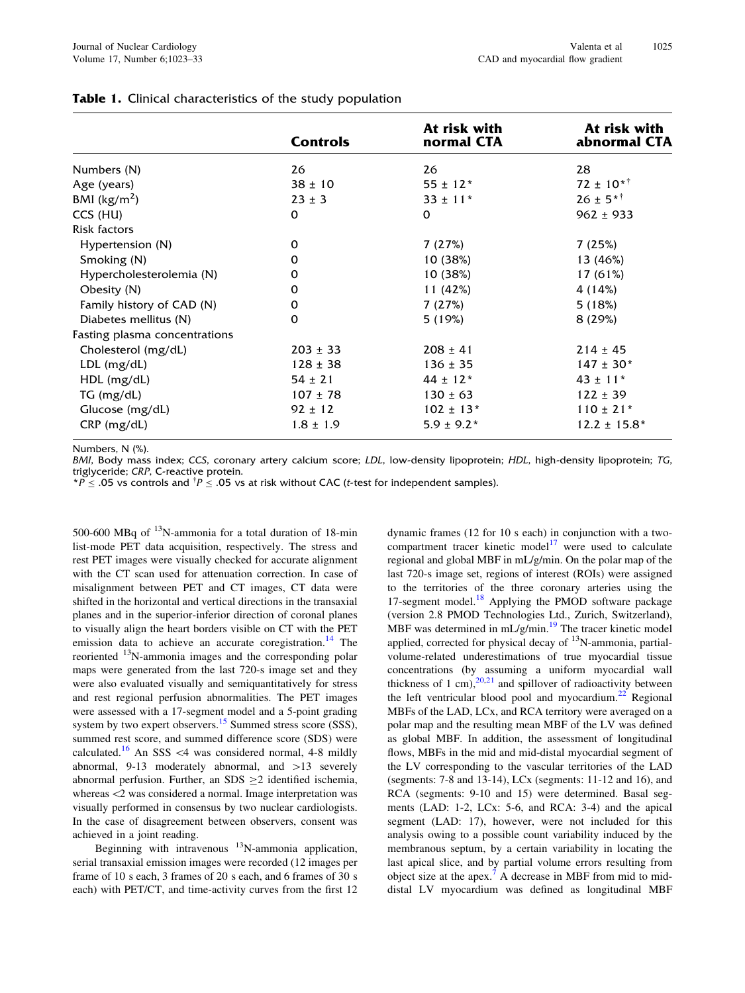|                               | <b>Controls</b> | At risk with<br>normal CTA | At risk with<br>abnormal CTA |
|-------------------------------|-----------------|----------------------------|------------------------------|
| Numbers (N)                   | 26              | 26                         | 28                           |
| Age (years)                   | $38 \pm 10$     | $55 \pm 12*$               | $72 \pm 10^{*1}$             |
| BMI ( $\text{kg/m}^2$ )       | $23 \pm 3$      | $33 \pm 11^*$              | $26 \pm 5$ <sup>*</sup>      |
| CCS (HU)                      | 0               | 0                          | $962 \pm 933$                |
| Risk factors                  |                 |                            |                              |
| Hypertension (N)              | 0               | 7(27%)                     | 7(25%)                       |
| Smoking (N)                   | 0               | 10 (38%)                   | 13 (46%)                     |
| Hypercholesterolemia (N)      | 0               | 10 (38%)                   | 17 (61%)                     |
| Obesity (N)                   | $\Omega$        | 11 (42%)                   | 4 (14%)                      |
| Family history of CAD (N)     | 0               | 7(27%)                     | 5(18%)                       |
| Diabetes mellitus (N)         | $\Omega$        | 5 (19%)                    | 8 (29%)                      |
| Fasting plasma concentrations |                 |                            |                              |
| Cholesterol (mg/dL)           | $203 \pm 33$    | $208 \pm 41$               | $214 \pm 45$                 |
| $LDL$ (mg/dL)                 | $128 \pm 38$    | $136 \pm 35$               | $147 \pm 30*$                |
| $HDL$ (mg/dL)                 | $54 \pm 21$     | $44 \pm 12*$               | $43 \pm 11$ *                |
| TG (mg/dL)                    | $107 \pm 78$    | $130 \pm 63$               | $122 \pm 39$                 |
| Glucose (mg/dL)               | $92 \pm 12$     | $102 \pm 13*$              | $110 \pm 21*$                |
| $CRP$ (mg/dL)                 | $1.8 \pm 1.9$   | $5.9 \pm 9.2*$             | $12.2 \pm 15.8^*$            |

## <span id="page-2-0"></span>Table 1. Clinical characteristics of the study population

Numbers, N (%).

BMI, Body mass index; CCS, coronary artery calcium score; LDL, low-density lipoprotein; HDL, high-density lipoprotein; TG, triglyceride; CRP, C-reactive protein.

\* $P \leq .05$  vs controls and  $\overline{P} \leq .05$  vs at risk without CAC (t-test for independent samples).

500-600 MBq of 13N-ammonia for a total duration of 18-min list-mode PET data acquisition, respectively. The stress and rest PET images were visually checked for accurate alignment with the CT scan used for attenuation correction. In case of misalignment between PET and CT images, CT data were shifted in the horizontal and vertical directions in the transaxial planes and in the superior-inferior direction of coronal planes to visually align the heart borders visible on CT with the PET emission data to achieve an accurate coregistration.<sup>[14](#page-10-0)</sup> The reoriented <sup>13</sup>N-ammonia images and the corresponding polar maps were generated from the last 720-s image set and they were also evaluated visually and semiquantitatively for stress and rest regional perfusion abnormalities. The PET images were assessed with a 17-segment model and a 5-point grading system by two expert observers.<sup>15</sup> Summed stress score (SSS), summed rest score, and summed difference score (SDS) were calculated.<sup>[16](#page-10-0)</sup> An SSS <4 was considered normal, 4-8 mildly abnormal,  $9-13$  moderately abnormal, and  $>13$  severely abnormal perfusion. Further, an SDS  $\geq$  2 identified ischemia, whereas <2 was considered a normal. Image interpretation was visually performed in consensus by two nuclear cardiologists. In the case of disagreement between observers, consent was achieved in a joint reading.

Beginning with intravenous  $13N$ -ammonia application, serial transaxial emission images were recorded (12 images per frame of 10 s each, 3 frames of 20 s each, and 6 frames of 30 s each) with PET/CT, and time-activity curves from the first 12

dynamic frames (12 for 10 s each) in conjunction with a two-compartment tracer kinetic model<sup>[17](#page-10-0)</sup> were used to calculate regional and global MBF in mL/g/min. On the polar map of the last 720-s image set, regions of interest (ROIs) were assigned to the territories of the three coronary arteries using the 17-segment model. $^{18}$  Applying the PMOD software package (version 2.8 PMOD Technologies Ltd., Zurich, Switzerland), MBF was determined in mL/g/min.<sup>[19](#page-10-0)</sup> The tracer kinetic model applied, corrected for physical decay of <sup>13</sup>N-ammonia, partialvolume-related underestimations of true myocardial tissue concentrations (by assuming a uniform myocardial wall thickness of 1 cm),  $20,21$  and spillover of radioactivity between the left ventricular blood pool and myocardium.<sup>[22](#page-10-0)</sup> Regional MBFs of the LAD, LCx, and RCA territory were averaged on a polar map and the resulting mean MBF of the LV was defined as global MBF. In addition, the assessment of longitudinal flows, MBFs in the mid and mid-distal myocardial segment of the LV corresponding to the vascular territories of the LAD (segments: 7-8 and 13-14), LCx (segments: 11-12 and 16), and RCA (segments: 9-10 and 15) were determined. Basal segments (LAD: 1-2, LCx: 5-6, and RCA: 3-4) and the apical segment (LAD: 17), however, were not included for this analysis owing to a possible count variability induced by the membranous septum, by a certain variability in locating the last apical slice, and by partial volume errors resulting from object size at the apex.[7](#page-10-0) A decrease in MBF from mid to middistal LV myocardium was defined as longitudinal MBF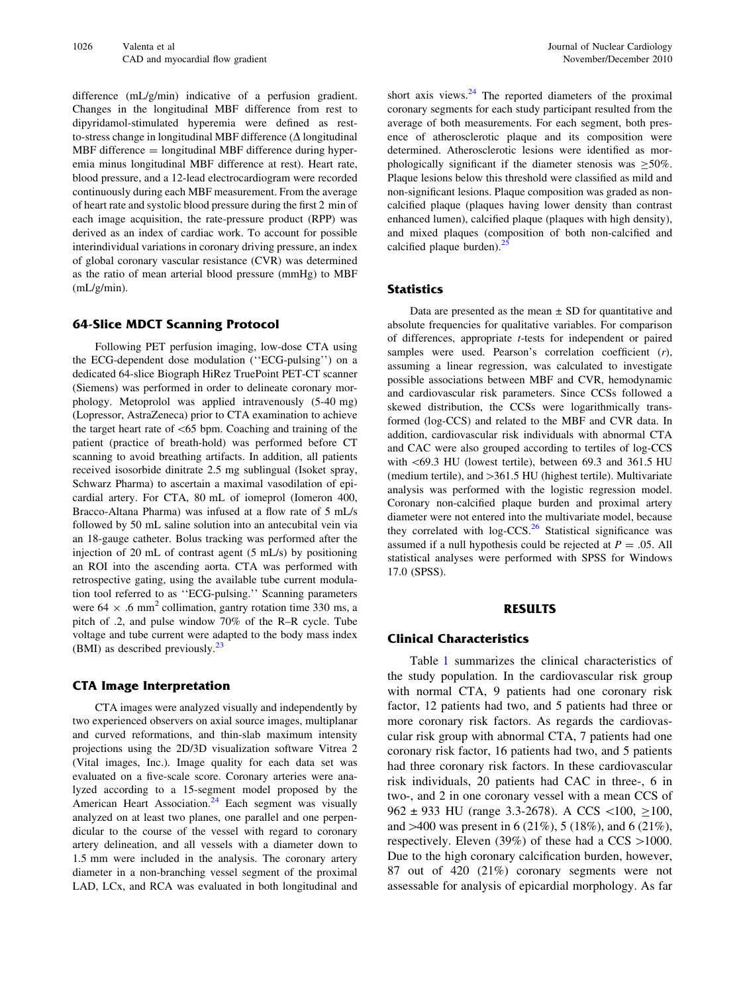difference (mL/g/min) indicative of a perfusion gradient. Changes in the longitudinal MBF difference from rest to dipyridamol-stimulated hyperemia were defined as restto-stress change in longitudinal MBF difference ( $\Delta$  longitudinal  $MBF$  difference  $=$  longitudinal MBF difference during hyperemia minus longitudinal MBF difference at rest). Heart rate, blood pressure, and a 12-lead electrocardiogram were recorded continuously during each MBF measurement. From the average of heart rate and systolic blood pressure during the first 2 min of each image acquisition, the rate-pressure product (RPP) was derived as an index of cardiac work. To account for possible interindividual variations in coronary driving pressure, an index of global coronary vascular resistance (CVR) was determined as the ratio of mean arterial blood pressure (mmHg) to MBF  $(mL/g/min)$ .

## 64-Slice MDCT Scanning Protocol

Following PET perfusion imaging, low-dose CTA using the ECG-dependent dose modulation (''ECG-pulsing'') on a dedicated 64-slice Biograph HiRez TruePoint PET-CT scanner (Siemens) was performed in order to delineate coronary morphology. Metoprolol was applied intravenously (5-40 mg) (Lopressor, AstraZeneca) prior to CTA examination to achieve the target heart rate of  $<65$  bpm. Coaching and training of the patient (practice of breath-hold) was performed before CT scanning to avoid breathing artifacts. In addition, all patients received isosorbide dinitrate 2.5 mg sublingual (Isoket spray, Schwarz Pharma) to ascertain a maximal vasodilation of epicardial artery. For CTA, 80 mL of iomeprol (Iomeron 400, Bracco-Altana Pharma) was infused at a flow rate of 5 mL/s followed by 50 mL saline solution into an antecubital vein via an 18-gauge catheter. Bolus tracking was performed after the injection of 20 mL of contrast agent (5 mL/s) by positioning an ROI into the ascending aorta. CTA was performed with retrospective gating, using the available tube current modulation tool referred to as ''ECG-pulsing.'' Scanning parameters were  $64 \times .6$  mm<sup>2</sup> collimation, gantry rotation time 330 ms, a pitch of .2, and pulse window 70% of the R–R cycle. Tube voltage and tube current were adapted to the body mass index (BMI) as described previously.<sup>[23](#page-10-0)</sup>

## CTA Image Interpretation

CTA images were analyzed visually and independently by two experienced observers on axial source images, multiplanar and curved reformations, and thin-slab maximum intensity projections using the 2D/3D visualization software Vitrea 2 (Vital images, Inc.). Image quality for each data set was evaluated on a five-scale score. Coronary arteries were analyzed according to a 15-segment model proposed by the American Heart Association. $24$  Each segment was visually analyzed on at least two planes, one parallel and one perpendicular to the course of the vessel with regard to coronary artery delineation, and all vessels with a diameter down to 1.5 mm were included in the analysis. The coronary artery diameter in a non-branching vessel segment of the proximal LAD, LCx, and RCA was evaluated in both longitudinal and

short axis views. $24$  The reported diameters of the proximal coronary segments for each study participant resulted from the average of both measurements. For each segment, both presence of atherosclerotic plaque and its composition were determined. Atherosclerotic lesions were identified as morphologically significant if the diameter stenosis was  $\geq 50\%$ . Plaque lesions below this threshold were classified as mild and non-significant lesions. Plaque composition was graded as noncalcified plaque (plaques having lower density than contrast enhanced lumen), calcified plaque (plaques with high density), and mixed plaques (composition of both non-calcified and calcified plaque burden). $^{25}$  $^{25}$  $^{25}$ 

## **Statistics**

Data are presented as the mean  $\pm$  SD for quantitative and absolute frequencies for qualitative variables. For comparison of differences, appropriate t-tests for independent or paired samples were used. Pearson's correlation coefficient (r), assuming a linear regression, was calculated to investigate possible associations between MBF and CVR, hemodynamic and cardiovascular risk parameters. Since CCSs followed a skewed distribution, the CCSs were logarithmically transformed (log-CCS) and related to the MBF and CVR data. In addition, cardiovascular risk individuals with abnormal CTA and CAC were also grouped according to tertiles of log-CCS with  $\leq 69.3$  HU (lowest tertile), between 69.3 and 361.5 HU (medium tertile), and  $>361.5$  HU (highest tertile). Multivariate analysis was performed with the logistic regression model. Coronary non-calcified plaque burden and proximal artery diameter were not entered into the multivariate model, because they correlated with log-CCS.<sup>[26](#page-10-0)</sup> Statistical significance was assumed if a null hypothesis could be rejected at  $P = .05$ . All statistical analyses were performed with SPSS for Windows 17.0 (SPSS).

## RESULTS

## Clinical Characteristics

Table [1](#page-2-0) summarizes the clinical characteristics of the study population. In the cardiovascular risk group with normal CTA, 9 patients had one coronary risk factor, 12 patients had two, and 5 patients had three or more coronary risk factors. As regards the cardiovascular risk group with abnormal CTA, 7 patients had one coronary risk factor, 16 patients had two, and 5 patients had three coronary risk factors. In these cardiovascular risk individuals, 20 patients had CAC in three-, 6 in two-, and 2 in one coronary vessel with a mean CCS of  $962 \pm 933$  HU (range 3.3-2678). A CCS <100,  $\geq 100$ , and >400 was present in 6 (21%), 5 (18%), and 6 (21%), respectively. Eleven  $(39%)$  of these had a CCS  $>1000$ . Due to the high coronary calcification burden, however, 87 out of 420 (21%) coronary segments were not assessable for analysis of epicardial morphology. As far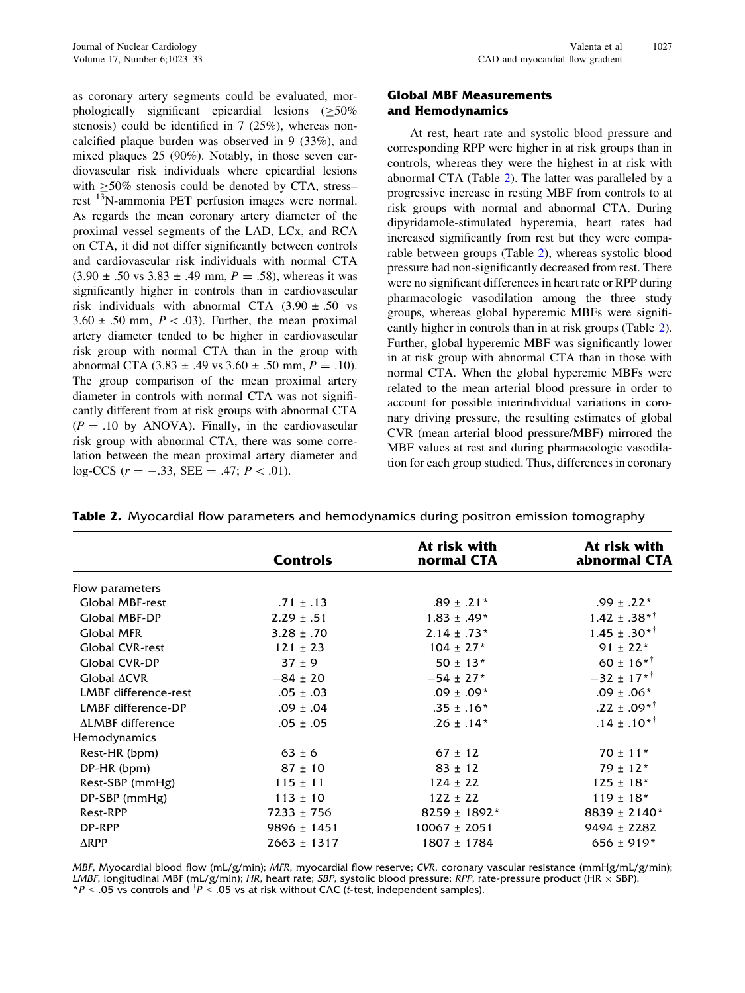<span id="page-4-0"></span>as coronary artery segments could be evaluated, morphologically significant epicardial lesions  $(≥50%$ stenosis) could be identified in 7 (25%), whereas noncalcified plaque burden was observed in 9 (33%), and mixed plaques 25 (90%). Notably, in those seven cardiovascular risk individuals where epicardial lesions with  $\geq$ 50% stenosis could be denoted by CTA, stress– rest 13N-ammonia PET perfusion images were normal. As regards the mean coronary artery diameter of the proximal vessel segments of the LAD, LCx, and RCA on CTA, it did not differ significantly between controls and cardiovascular risk individuals with normal CTA  $(3.90 \pm .50 \text{ vs } 3.83 \pm .49 \text{ mm}, P = .58)$ , whereas it was significantly higher in controls than in cardiovascular risk individuals with abnormal CTA  $(3.90 \pm .50 \text{ vs }$  $3.60 \pm .50$  mm,  $P \lt .03$ ). Further, the mean proximal artery diameter tended to be higher in cardiovascular risk group with normal CTA than in the group with abnormal CTA  $(3.83 \pm .49 \text{ vs } 3.60 \pm .50 \text{ mm}, P = .10)$ . The group comparison of the mean proximal artery diameter in controls with normal CTA was not significantly different from at risk groups with abnormal CTA  $(P = .10 \text{ by ANOVA})$ . Finally, in the cardiovascular risk group with abnormal CTA, there was some correlation between the mean proximal artery diameter and log-CCS  $(r = -.33, \text{SEE} = .47; P < .01)$ .

# Global MBF Measurements and Hemodynamics

At rest, heart rate and systolic blood pressure and corresponding RPP were higher in at risk groups than in controls, whereas they were the highest in at risk with abnormal CTA (Table 2). The latter was paralleled by a progressive increase in resting MBF from controls to at risk groups with normal and abnormal CTA. During dipyridamole-stimulated hyperemia, heart rates had increased significantly from rest but they were comparable between groups (Table 2), whereas systolic blood pressure had non-significantly decreased from rest. There were no significant differences in heart rate or RPP during pharmacologic vasodilation among the three study groups, whereas global hyperemic MBFs were significantly higher in controls than in at risk groups (Table 2). Further, global hyperemic MBF was significantly lower in at risk group with abnormal CTA than in those with normal CTA. When the global hyperemic MBFs were related to the mean arterial blood pressure in order to account for possible interindividual variations in coronary driving pressure, the resulting estimates of global CVR (mean arterial blood pressure/MBF) mirrored the MBF values at rest and during pharmacologic vasodilation for each group studied. Thus, differences in coronary

|                         | <b>Controls</b> | At risk with<br>normal CTA | At risk with<br>abnormal CTA |
|-------------------------|-----------------|----------------------------|------------------------------|
| Flow parameters         |                 |                            |                              |
| Global MBF-rest         | $.71 \pm .13$   | $.89 \pm .21*$             | $.99 \pm .22*$               |
| Global MBF-DP           | $2.29 \pm .51$  | $1.83 \pm .49*$            | $1.42 \pm .38**$             |
| Global MFR              | $3.28 \pm .70$  | $2.14 \pm .73*$            | $1.45 \pm .30^{* \dagger}$   |
| Global CVR-rest         | $121 \pm 23$    | $104 \pm 27*$              | $91 \pm 22*$                 |
| Global CVR-DP           | $37 \pm 9$      | $50 \pm 13*$               | $60 \pm 16^{*}$              |
| Global ACVR             | $-84 \pm 20$    | $-54 \pm 27$ *             | $-32 \pm 17^{*1}$            |
| LMBF difference-rest    | $.05 \pm .03$   | $.09 \pm .09*$             | $.09 \pm .06*$               |
| LMBF difference-DP      | $.09 \pm .04$   | $.35 \pm .16*$             | $.22 \pm .09**$              |
| <b>ALMBF</b> difference | $.05 \pm .05$   | $.26 \pm .14*$             | $.14 \pm .10^{* \dagger}$    |
| Hemodynamics            |                 |                            |                              |
| Rest-HR (bpm)           | $63 \pm 6$      | $67 \pm 12$                | $70 \pm 11*$                 |
| DP-HR (bpm)             | $87 \pm 10$     | $83 \pm 12$                | $79 \pm 12*$                 |
| Rest-SBP (mmHg)         | $115 \pm 11$    | $124 \pm 22$               | $125 \pm 18*$                |
| DP-SBP (mmHg)           | $113 \pm 10$    | $122 \pm 22$               | $119 \pm 18$ <sup>*</sup>    |
| Rest-RPP                | $7233 \pm 756$  | $8259 \pm 1892*$           | $8839 \pm 2140*$             |
| DP-RPP                  | $9896 \pm 1451$ | $10067 \pm 2051$           | $9494 \pm 2282$              |
| $\triangle$ RPP         | $2663 \pm 1317$ | $1807 \pm 1784$            | $656 \pm 919*$               |
|                         |                 |                            |                              |

Table 2. Myocardial flow parameters and hemodynamics during positron emission tomography

MBF, Myocardial blood flow (mL/g/min); MFR, myocardial flow reserve; CVR, coronary vascular resistance (mmHg/mL/g/min); *LMBF*, longitudinal MBF (mL/g/min); HR, heart rate; SBP, systolic blood pressure; RPP, rate-pressure product (HR  $\times$  SBP). \*P  $\le$  .05 vs controls and  $\sqrt[P]{\le}$  .05 vs at risk without CAC (t-test, independent samples).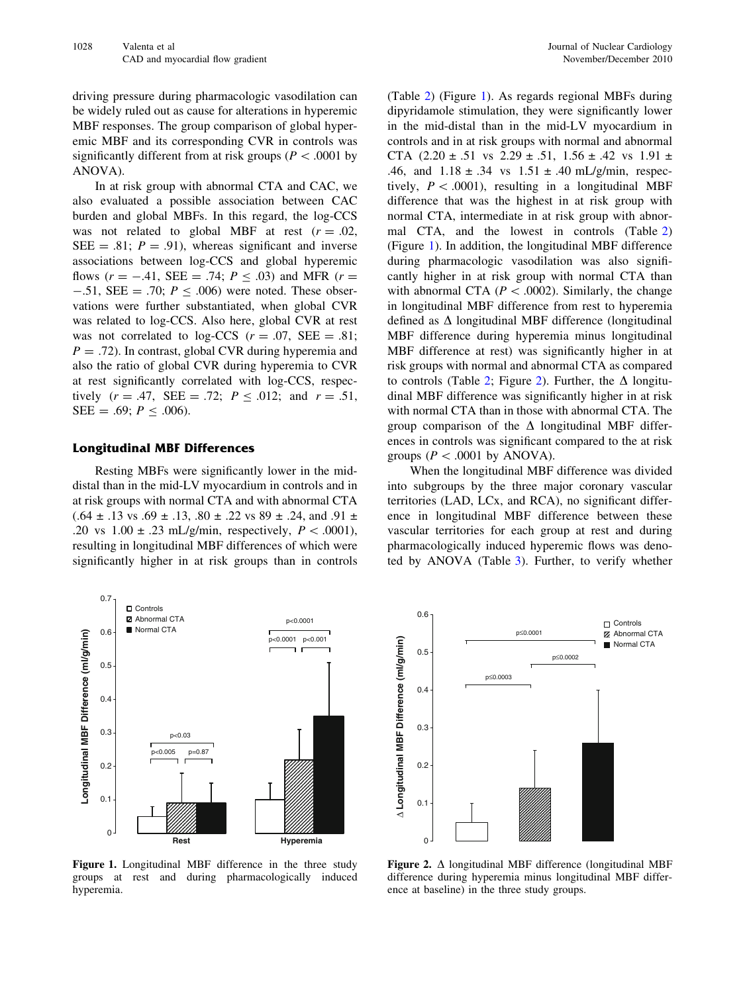driving pressure during pharmacologic vasodilation can be widely ruled out as cause for alterations in hyperemic MBF responses. The group comparison of global hyperemic MBF and its corresponding CVR in controls was significantly different from at risk groups ( $P<.0001$  by ANOVA).

In at risk group with abnormal CTA and CAC, we also evaluated a possible association between CAC burden and global MBFs. In this regard, the log-CCS was not related to global MBF at rest  $(r = .02, )$  $SEE = .81$ ;  $P = .91$ ), whereas significant and inverse associations between log-CCS and global hyperemic flows  $(r = -.41, \text{SEE} = .74; P \le .03)$  and MFR  $(r =$  $-.51$ , SEE = .70;  $P < .006$ ) were noted. These observations were further substantiated, when global CVR was related to log-CCS. Also here, global CVR at rest was not correlated to log-CCS ( $r = .07$ , SEE = .81;  $P = .72$ ). In contrast, global CVR during hyperemia and also the ratio of global CVR during hyperemia to CVR at rest significantly correlated with log-CCS, respectively  $(r = .47, \text{SEE} = .72; P \le .012; \text{and } r = .51,$  $SEE = .69; P \le .006$ .

## Longitudinal MBF Differences

Resting MBFs were significantly lower in the middistal than in the mid-LV myocardium in controls and in at risk groups with normal CTA and with abnormal CTA  $(.64 \pm .13 \text{ vs } .69 \pm .13, .80 \pm .22 \text{ vs } 89 \pm .24, \text{ and } .91 \pm .22 \pm .24)$ .20 vs  $1.00 \pm .23$  mL/g/min, respectively,  $P < .0001$ ), resulting in longitudinal MBF differences of which were significantly higher in at risk groups than in controls (Table [2](#page-4-0)) (Figure 1). As regards regional MBFs during dipyridamole stimulation, they were significantly lower in the mid-distal than in the mid-LV myocardium in controls and in at risk groups with normal and abnormal CTA  $(2.20 \pm .51 \text{ vs } 2.29 \pm .51, 1.56 \pm .42 \text{ vs } 1.91 \pm \text{)}$ .46, and  $1.18 \pm .34$  vs  $1.51 \pm .40$  mL/g/min, respectively,  $P < .0001$ ), resulting in a longitudinal MBF difference that was the highest in at risk group with normal CTA, intermediate in at risk group with abnormal CTA, and the lowest in controls (Table [2\)](#page-4-0) (Figure 1). In addition, the longitudinal MBF difference during pharmacologic vasodilation was also significantly higher in at risk group with normal CTA than with abnormal CTA ( $P < .0002$ ). Similarly, the change in longitudinal MBF difference from rest to hyperemia defined as  $\Delta$  longitudinal MBF difference (longitudinal MBF difference during hyperemia minus longitudinal MBF difference at rest) was significantly higher in at risk groups with normal and abnormal CTA as compared to controls (Table [2](#page-4-0); Figure 2). Further, the  $\Delta$  longitudinal MBF difference was significantly higher in at risk with normal CTA than in those with abnormal CTA. The group comparison of the  $\Delta$  longitudinal MBF differences in controls was significant compared to the at risk groups ( $P < .0001$  by ANOVA).

When the longitudinal MBF difference was divided into subgroups by the three major coronary vascular territories (LAD, LCx, and RCA), no significant difference in longitudinal MBF difference between these vascular territories for each group at rest and during pharmacologically induced hyperemic flows was denoted by ANOVA (Table [3\)](#page-6-0). Further, to verify whether



Figure 1. Longitudinal MBF difference in the three study groups at rest and during pharmacologically induced hyperemia.



Figure 2.  $\Delta$  longitudinal MBF difference (longitudinal MBF difference during hyperemia minus longitudinal MBF difference at baseline) in the three study groups.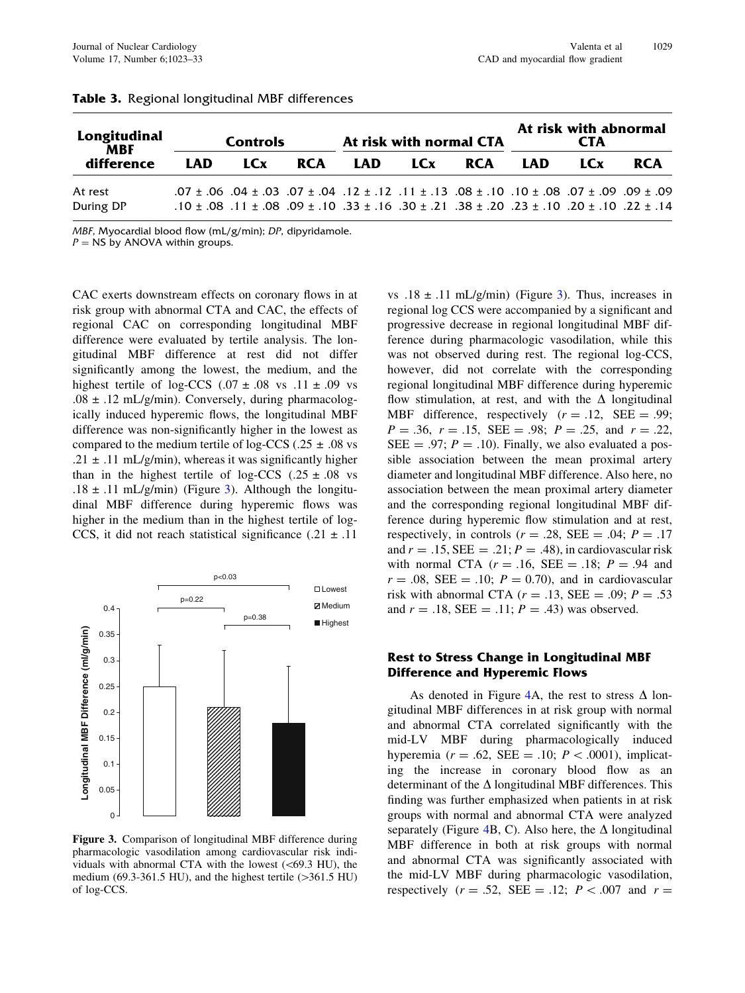| Longitudinal<br><b>MBF</b> | <b>Controls</b> |            | At risk with normal CTA |            |            | At risk with abnormal<br><b>CTA</b> |            |                                                                                                   |     |
|----------------------------|-----------------|------------|-------------------------|------------|------------|-------------------------------------|------------|---------------------------------------------------------------------------------------------------|-----|
| difference                 | <b>LAD</b>      | <b>LCx</b> | RCA                     | <b>LAD</b> | <b>LCx</b> | <b>RCA</b>                          | <b>LAD</b> | LCx                                                                                               | RCA |
| At rest                    |                 |            |                         |            |            |                                     |            | 09. ± 09. 09. ± 07. 80. ± 01. 01. ± 08. 13. ± 11. 12. ± 12. 04. ± 03. 10. 10. 05. ± 04. 05. ± 07. |     |
| During DP                  |                 |            |                         |            |            |                                     |            | 14. ± 22. 10. ± 20. 10. ± 23. 20. ± 38. 11. ± 30. 16. ± 33. 10. ± 09. 09. ± 11. 08. ± 10.         |     |

<span id="page-6-0"></span>

|  |  | Table 3. Regional longitudinal MBF differences |  |  |
|--|--|------------------------------------------------|--|--|
|--|--|------------------------------------------------|--|--|

MBF, Myocardial blood flow (mL/g/min); DP, dipyridamole.  $P =$  NS by ANOVA within groups.

CAC exerts downstream effects on coronary flows in at risk group with abnormal CTA and CAC, the effects of regional CAC on corresponding longitudinal MBF difference were evaluated by tertile analysis. The longitudinal MBF difference at rest did not differ significantly among the lowest, the medium, and the highest tertile of log-CCS (.07  $\pm$  .08 vs .11  $\pm$  .09 vs  $.08 \pm .12$  mL/g/min). Conversely, during pharmacologically induced hyperemic flows, the longitudinal MBF difference was non-significantly higher in the lowest as compared to the medium tertile of log-CCS (.25  $\pm$  .08 vs .21  $\pm$  .11 mL/g/min), whereas it was significantly higher than in the highest tertile of log-CCS  $(.25 \pm .08 \text{ vs }$ .18  $\pm$  .11 mL/g/min) (Figure 3). Although the longitudinal MBF difference during hyperemic flows was higher in the medium than in the highest tertile of log-CCS, it did not reach statistical significance  $(.21 \pm .11)$ 



Figure 3. Comparison of longitudinal MBF difference during pharmacologic vasodilation among cardiovascular risk individuals with abnormal CTA with the lowest  $(<69.3$  HU), the medium (69.3-361.5 HU), and the highest tertile  $(>361.5$  HU) of log-CCS.

vs .18  $\pm$  .11 mL/g/min) (Figure 3). Thus, increases in regional log CCS were accompanied by a significant and progressive decrease in regional longitudinal MBF difference during pharmacologic vasodilation, while this was not observed during rest. The regional log-CCS, however, did not correlate with the corresponding regional longitudinal MBF difference during hyperemic flow stimulation, at rest, and with the  $\Delta$  longitudinal MBF difference, respectively  $(r = .12, \text{SEE} = .99)$ ;  $P = .36$ ,  $r = .15$ ,  $SEE = .98$ ;  $P = .25$ , and  $r = .22$ , SEE = .97;  $P = .10$ ). Finally, we also evaluated a possible association between the mean proximal artery diameter and longitudinal MBF difference. Also here, no association between the mean proximal artery diameter and the corresponding regional longitudinal MBF difference during hyperemic flow stimulation and at rest, respectively, in controls ( $r = .28$ , SEE = .04;  $P = .17$ and  $r = .15$ , SEE = .21;  $P = .48$ ), in cardiovascular risk with normal CTA  $(r = .16, \text{SEE} = .18; P = .94 \text{ and}$  $r = .08$ , SEE = .10;  $P = 0.70$ ), and in cardiovascular risk with abnormal CTA  $(r = .13, SEE = .09; P = .53)$ and  $r = .18$ , SEE = .11;  $P = .43$ ) was observed.

# Rest to Stress Change in Longitudinal MBF Difference and Hyperemic Flows

As denoted in Figure [4A](#page-7-0), the rest to stress  $\Delta$  longitudinal MBF differences in at risk group with normal and abnormal CTA correlated significantly with the mid-LV MBF during pharmacologically induced hyperemia ( $r = .62$ , SEE = .10;  $P < .0001$ ), implicating the increase in coronary blood flow as an determinant of the  $\Delta$  longitudinal MBF differences. This finding was further emphasized when patients in at risk groups with normal and abnormal CTA were analyzed separately (Figure [4](#page-7-0)B, C). Also here, the  $\Delta$  longitudinal MBF difference in both at risk groups with normal and abnormal CTA was significantly associated with the mid-LV MBF during pharmacologic vasodilation, respectively ( $r = .52$ , SEE = .12;  $P < .007$  and  $r =$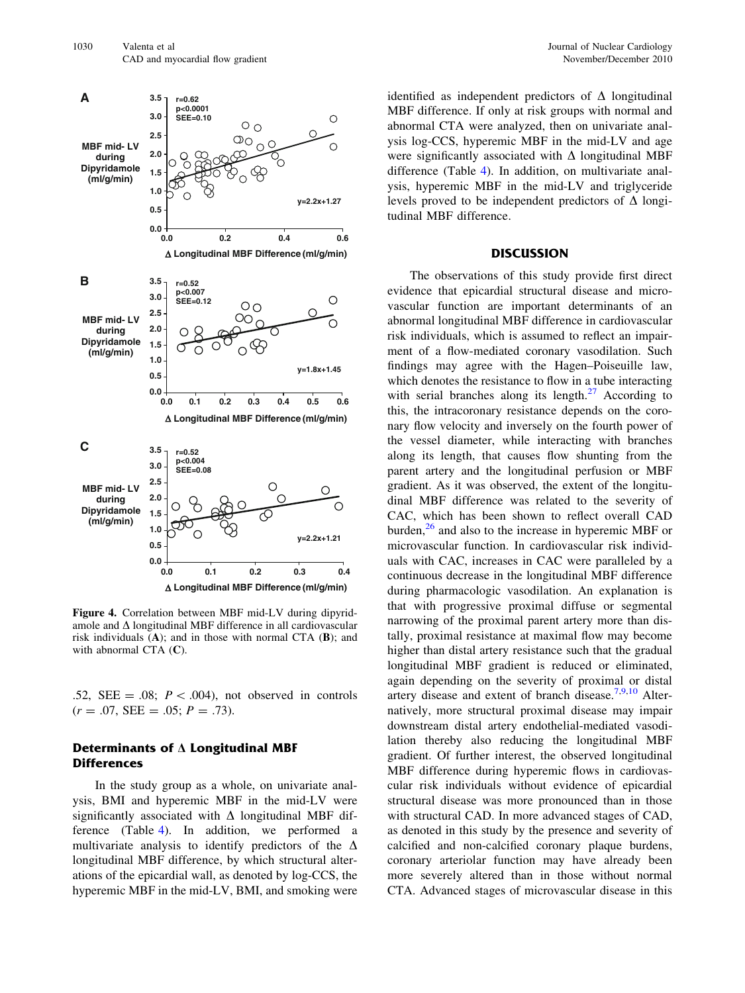<span id="page-7-0"></span>

Figure 4. Correlation between MBF mid-LV during dipyridamole and  $\Delta$  longitudinal MBF difference in all cardiovascular risk individuals  $(A)$ ; and in those with normal CTA  $(B)$ ; and with abnormal CTA (C).

.52, SEE =  $.08$ ;  $P \lt .004$ ), not observed in controls  $(r = .07, \text{SEE} = .05; P = .73).$ 

# Determinants of  $\Delta$  Longitudinal MBF **Differences**

In the study group as a whole, on univariate analysis, BMI and hyperemic MBF in the mid-LV were significantly associated with  $\Delta$  longitudinal MBF difference (Table [4](#page-8-0)). In addition, we performed a multivariate analysis to identify predictors of the  $\Delta$ longitudinal MBF difference, by which structural alterations of the epicardial wall, as denoted by log-CCS, the hyperemic MBF in the mid-LV, BMI, and smoking were identified as independent predictors of  $\Delta$  longitudinal MBF difference. If only at risk groups with normal and abnormal CTA were analyzed, then on univariate analysis log-CCS, hyperemic MBF in the mid-LV and age were significantly associated with  $\Delta$  longitudinal MBF difference (Table [4](#page-8-0)). In addition, on multivariate analysis, hyperemic MBF in the mid-LV and triglyceride levels proved to be independent predictors of  $\Delta$  longitudinal MBF difference.

## **DISCUSSION**

The observations of this study provide first direct evidence that epicardial structural disease and microvascular function are important determinants of an abnormal longitudinal MBF difference in cardiovascular risk individuals, which is assumed to reflect an impairment of a flow-mediated coronary vasodilation. Such findings may agree with the Hagen–Poiseuille law, which denotes the resistance to flow in a tube interacting with serial branches along its length. $27$  According to this, the intracoronary resistance depends on the coronary flow velocity and inversely on the fourth power of the vessel diameter, while interacting with branches along its length, that causes flow shunting from the parent artery and the longitudinal perfusion or MBF gradient. As it was observed, the extent of the longitudinal MBF difference was related to the severity of CAC, which has been shown to reflect overall CAD burden, $^{26}$  $^{26}$  $^{26}$  and also to the increase in hyperemic MBF or microvascular function. In cardiovascular risk individuals with CAC, increases in CAC were paralleled by a continuous decrease in the longitudinal MBF difference during pharmacologic vasodilation. An explanation is that with progressive proximal diffuse or segmental narrowing of the proximal parent artery more than distally, proximal resistance at maximal flow may become higher than distal artery resistance such that the gradual longitudinal MBF gradient is reduced or eliminated, again depending on the severity of proximal or distal artery disease and extent of branch disease.<sup>[7,9](#page-10-0),[10](#page-10-0)</sup> Alternatively, more structural proximal disease may impair downstream distal artery endothelial-mediated vasodilation thereby also reducing the longitudinal MBF gradient. Of further interest, the observed longitudinal MBF difference during hyperemic flows in cardiovascular risk individuals without evidence of epicardial structural disease was more pronounced than in those with structural CAD. In more advanced stages of CAD, as denoted in this study by the presence and severity of calcified and non-calcified coronary plaque burdens, coronary arteriolar function may have already been more severely altered than in those without normal CTA. Advanced stages of microvascular disease in this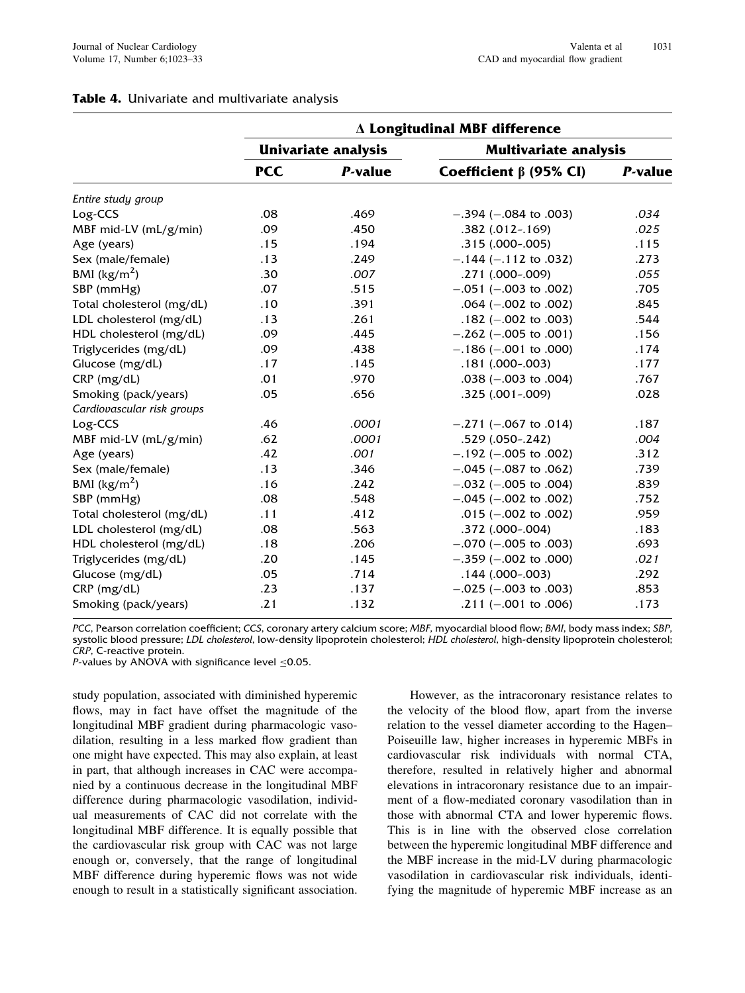|                            | $\Delta$ Longitudinal MBF difference |                            |                               |         |  |  |
|----------------------------|--------------------------------------|----------------------------|-------------------------------|---------|--|--|
|                            |                                      | <b>Univariate analysis</b> | <b>Multivariate analysis</b>  |         |  |  |
|                            | <b>PCC</b>                           | $P$ -value                 | Coefficient $\beta$ (95% CI)  | P-value |  |  |
| Entire study group         |                                      |                            |                               |         |  |  |
| Log-CCS                    | .08                                  | .469                       | $-.394$ ( $-.084$ to $.003$ ) | .034    |  |  |
| MBF mid-LV $(mL/g/min)$    | .09                                  | .450                       | $.382(.012-.169)$             | .025    |  |  |
| Age (years)                | .15                                  | .194                       | $.315(.000-.005)$             | .115    |  |  |
| Sex (male/female)          | .13                                  | .249                       | $-.144 (-.112$ to .032)       | .273    |  |  |
| BMI ( $\text{kg/m}^2$ )    | .30                                  | .007                       | .271 (.000-.009)              | .055    |  |  |
| SBP (mmHg)                 | .07                                  | .515                       | $-.051$ ( $-.003$ to $.002$ ) | .705    |  |  |
| Total cholesterol (mg/dL)  | .10                                  | .391                       | $.064$ ( $-.002$ to $.002$ )  | .845    |  |  |
| LDL cholesterol (mg/dL)    | .13                                  | .261                       | $.182$ (-.002 to .003)        | .544    |  |  |
| HDL cholesterol (mg/dL)    | .09                                  | .445                       | $-.262$ ( $-.005$ to $.001$ ) | .156    |  |  |
| Triglycerides (mg/dL)      | .09                                  | .438                       | $-.186 (-.001 to .000)$       | .174    |  |  |
| Glucose (mg/dL)            | .17                                  | .145                       | $.181$ $(.000-.003)$          | .177    |  |  |
| $CRP$ (mg/dL)              | .01                                  | .970                       | $.038 (-.003$ to $.004)$      | .767    |  |  |
| Smoking (pack/years)       | .05                                  | .656                       | $.325(.001-.009)$             | .028    |  |  |
| Cardiovascular risk groups |                                      |                            |                               |         |  |  |
| Log-CCS                    | .46                                  | .0001                      | $-.271$ ( $-.067$ to $.014$ ) | .187    |  |  |
| MBF mid-LV (mL/g/min)      | .62                                  | .0001                      | .529 (.050 -. 242)            | .004    |  |  |
| Age (years)                | .42                                  | .001                       | $-.192$ ( $-.005$ to $.002$ ) | .312    |  |  |
| Sex (male/female)          | .13                                  | .346                       | $-.045$ ( $-.087$ to $.062$ ) | .739    |  |  |
| BMI ( $\text{kg/m}^2$ )    | .16                                  | .242                       | $-.032$ ( $-.005$ to $.004$ ) | .839    |  |  |
| SBP (mmHg)                 | .08                                  | .548                       | $-.045$ ( $-.002$ to $.002$ ) | .752    |  |  |
| Total cholesterol (mg/dL)  | .11                                  | .412                       | .015 ( $-.002$ to .002)       | .959    |  |  |
| LDL cholesterol (mg/dL)    | .08                                  | .563                       | .372 (.000-.004)              | .183    |  |  |
| HDL cholesterol (mg/dL)    | .18                                  | .206                       | $-.070$ ( $-.005$ to $.003$ ) | .693    |  |  |
| Triglycerides (mg/dL)      | .20                                  | .145                       | $-.359$ ( $-.002$ to $.000$ ) | .021    |  |  |
| Glucose (mg/dL)            | .05                                  | .714                       | $.144(.000-.003)$             | .292    |  |  |
| CRP (mg/dL)                | .23                                  | .137                       | $-.025$ ( $-.003$ to $.003$ ) | .853    |  |  |
| Smoking (pack/years)       | .21                                  | .132                       | .211 ( $-.001$ to $.006$ )    | .173    |  |  |

# <span id="page-8-0"></span>**Table 4.** Univariate and multivariate analysis

PCC, Pearson correlation coefficient; CCS, coronary artery calcium score; MBF, myocardial blood flow; BMI, body mass index; SBP, systolic blood pressure; LDL cholesterol, low-density lipoprotein cholesterol; HDL cholesterol, high-density lipoprotein cholesterol; CRP, C-reactive protein.

*P*-values by ANOVA with significance level  $\leq$ 0.05.

study population, associated with diminished hyperemic flows, may in fact have offset the magnitude of the longitudinal MBF gradient during pharmacologic vasodilation, resulting in a less marked flow gradient than one might have expected. This may also explain, at least in part, that although increases in CAC were accompanied by a continuous decrease in the longitudinal MBF difference during pharmacologic vasodilation, individual measurements of CAC did not correlate with the longitudinal MBF difference. It is equally possible that the cardiovascular risk group with CAC was not large enough or, conversely, that the range of longitudinal MBF difference during hyperemic flows was not wide enough to result in a statistically significant association.

However, as the intracoronary resistance relates to the velocity of the blood flow, apart from the inverse relation to the vessel diameter according to the Hagen– Poiseuille law, higher increases in hyperemic MBFs in cardiovascular risk individuals with normal CTA, therefore, resulted in relatively higher and abnormal elevations in intracoronary resistance due to an impairment of a flow-mediated coronary vasodilation than in those with abnormal CTA and lower hyperemic flows. This is in line with the observed close correlation between the hyperemic longitudinal MBF difference and the MBF increase in the mid-LV during pharmacologic vasodilation in cardiovascular risk individuals, identifying the magnitude of hyperemic MBF increase as an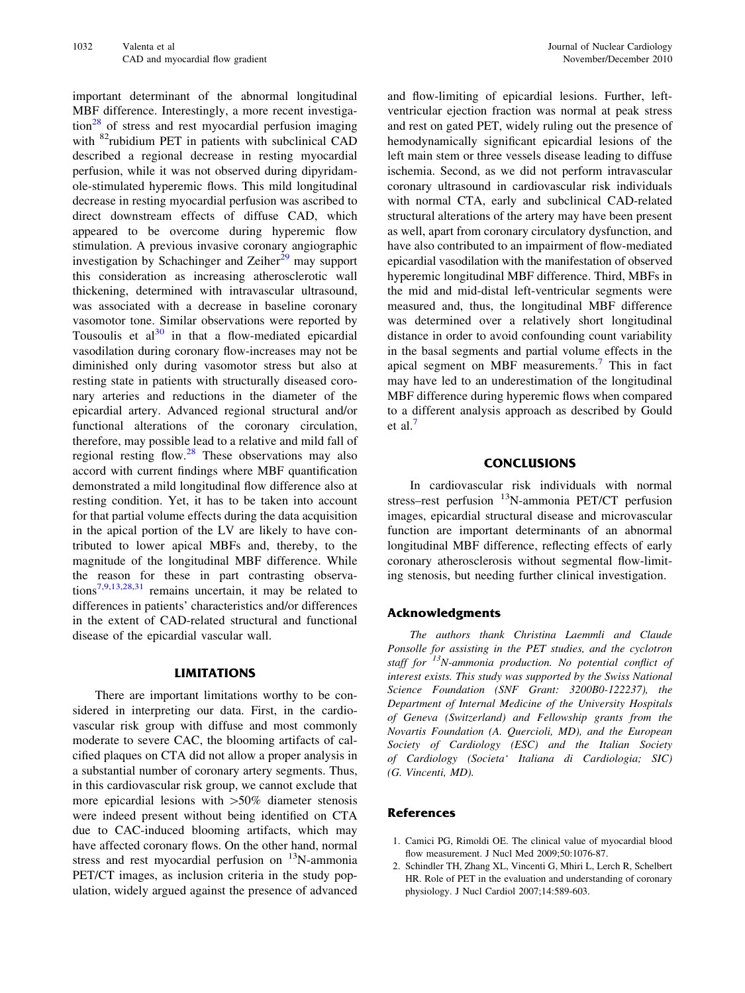<span id="page-9-0"></span>important determinant of the abnormal longitudinal MBF difference. Interestingly, a more recent investiga- $\int$  tion<sup>[28](#page-10-0)</sup> of stress and rest myocardial perfusion imaging with <sup>82</sup>rubidium PET in patients with subclinical CAD described a regional decrease in resting myocardial perfusion, while it was not observed during dipyridamole-stimulated hyperemic flows. This mild longitudinal decrease in resting myocardial perfusion was ascribed to direct downstream effects of diffuse CAD, which appeared to be overcome during hyperemic flow stimulation. A previous invasive coronary angiographic investigation by Schachinger and Zeiher $^{29}$  may support this consideration as increasing atherosclerotic wall thickening, determined with intravascular ultrasound, was associated with a decrease in baseline coronary vasomotor tone. Similar observations were reported by Tousoulis et al $^{30}$  $^{30}$  $^{30}$  in that a flow-mediated epicardial vasodilation during coronary flow-increases may not be diminished only during vasomotor stress but also at resting state in patients with structurally diseased coronary arteries and reductions in the diameter of the epicardial artery. Advanced regional structural and/or functional alterations of the coronary circulation, therefore, may possible lead to a relative and mild fall of regional resting flow.[28](#page-10-0) These observations may also accord with current findings where MBF quantification demonstrated a mild longitudinal flow difference also at resting condition. Yet, it has to be taken into account for that partial volume effects during the data acquisition in the apical portion of the LV are likely to have contributed to lower apical MBFs and, thereby, to the magnitude of the longitudinal MBF difference. While the reason for these in part contrasting observa-tions<sup>[7](#page-10-0),[9,13](#page-10-0),[28,31](#page-10-0)</sup> remains uncertain, it may be related to differences in patients' characteristics and/or differences in the extent of CAD-related structural and functional disease of the epicardial vascular wall.

## LIMITATIONS

There are important limitations worthy to be considered in interpreting our data. First, in the cardiovascular risk group with diffuse and most commonly moderate to severe CAC, the blooming artifacts of calcified plaques on CTA did not allow a proper analysis in a substantial number of coronary artery segments. Thus, in this cardiovascular risk group, we cannot exclude that more epicardial lesions with  $>50\%$  diameter stenosis were indeed present without being identified on CTA due to CAC-induced blooming artifacts, which may have affected coronary flows. On the other hand, normal stress and rest myocardial perfusion on  $13$ N-ammonia PET/CT images, as inclusion criteria in the study population, widely argued against the presence of advanced

and flow-limiting of epicardial lesions. Further, leftventricular ejection fraction was normal at peak stress and rest on gated PET, widely ruling out the presence of hemodynamically significant epicardial lesions of the left main stem or three vessels disease leading to diffuse ischemia. Second, as we did not perform intravascular coronary ultrasound in cardiovascular risk individuals with normal CTA, early and subclinical CAD-related structural alterations of the artery may have been present as well, apart from coronary circulatory dysfunction, and have also contributed to an impairment of flow-mediated epicardial vasodilation with the manifestation of observed hyperemic longitudinal MBF difference. Third, MBFs in the mid and mid-distal left-ventricular segments were measured and, thus, the longitudinal MBF difference was determined over a relatively short longitudinal distance in order to avoid confounding count variability in the basal segments and partial volume effects in the apical segment on MBF measurements.<sup>[7](#page-10-0)</sup> This in fact may have led to an underestimation of the longitudinal MBF difference during hyperemic flows when compared to a different analysis approach as described by Gould et al.[7](#page-10-0)

## CONCLUSIONS

In cardiovascular risk individuals with normal stress–rest perfusion  $^{13}$ N-ammonia PET/CT perfusion images, epicardial structural disease and microvascular function are important determinants of an abnormal longitudinal MBF difference, reflecting effects of early coronary atherosclerosis without segmental flow-limiting stenosis, but needing further clinical investigation.

## Acknowledgments

The authors thank Christina Laemmli and Claude Ponsolle for assisting in the PET studies, and the cyclotron staff for  $^{13}N$ -ammonia production. No potential conflict of interest exists. This study was supported by the Swiss National Science Foundation (SNF Grant: 3200B0-122237), the Department of Internal Medicine of the University Hospitals of Geneva (Switzerland) and Fellowship grants from the Novartis Foundation (A. Quercioli, MD), and the European Society of Cardiology (ESC) and the Italian Society of Cardiology (Societa' Italiana di Cardiologia; SIC) (G. Vincenti, MD).

## References

- 1. Camici PG, Rimoldi OE. The clinical value of myocardial blood flow measurement. J Nucl Med 2009;50:1076-87.
- 2. Schindler TH, Zhang XL, Vincenti G, Mhiri L, Lerch R, Schelbert HR. Role of PET in the evaluation and understanding of coronary physiology. J Nucl Cardiol 2007;14:589-603.